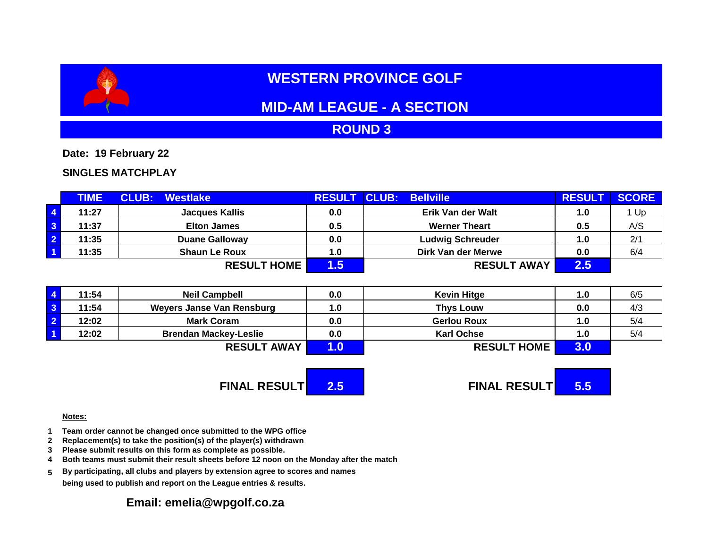# **WESTERN PROVINCE GOLF**

## **MID-AM LEAGUE - A SECTION**

## **ROUND 3**

**Date: 19 February 22**

### **SINGLES MATCHPLAY**

|                         | <b>TIME</b> | <b>CLUB:</b><br>Westlake | <b>RESULT</b> | <b>CLUB: Bellville</b>  | <b>RESUL</b>  | <b>SCORE</b> |
|-------------------------|-------------|--------------------------|---------------|-------------------------|---------------|--------------|
| $\vert 4 \vert$         | 11:27       | <b>Jacques Kallis</b>    | 0.0           | Erik Van der Walt       | 1.0           | 1 Up         |
| $\overline{\mathbf{3}}$ | 11:37       | <b>Elton James</b>       | 0.5           | <b>Werner Theart</b>    | 0.5           | A/S          |
| $\overline{\mathbf{2}}$ | 11:35       | <b>Duane Galloway</b>    | 0.0           | <b>Ludwig Schreuder</b> | 1.0           | 2/1          |
| $\overline{1}$          | 11:35       | <b>Shaun Le Roux</b>     | 1.0           | Dirk Van der Merwe      | 0.0           | 6/4          |
|                         |             | <b>RESULT HOME</b>       | $.5\,$        | <b>RESULT AWAY</b>      | $2.5^{\circ}$ |              |

|                    | 11:54 | <b>Neil Campbell</b>         | 0.0                | <b>Kevin Hitge</b> | $\mathbf{0}$ . I | 6/5 |
|--------------------|-------|------------------------------|--------------------|--------------------|------------------|-----|
|                    | 11:54 | Weyers Janse Van Rensburg    | 1.0                | <b>Thys Louw</b>   | 0.0              | 4/3 |
|                    | 12:02 | <b>Mark Coram</b>            | 0.0                | <b>Gerlou Roux</b> | $\mathbf{0}$ . I | 5/4 |
|                    | 12:02 | <b>Brendan Mackey-Leslie</b> | 0.0                | <b>Karl Ochse</b>  | 1.0              | 5/4 |
| <b>RESULT AWAY</b> |       |                              | <b>RESULT HOME</b> | 3.U                |                  |     |

**FINAL RESULT 2.5 FINAL RESULT 5.5**

#### **Notes:**

- **1 Team order cannot be changed once submitted to the WPG office**
- **2 Replacement(s) to take the position(s) of the player(s) withdrawn**
- **3 Please submit results on this form as complete as possible.**
- **4 Both teams must submit their result sheets before 12 noon on the Monday after the match**
- **5 By participating, all clubs and players by extension agree to scores and names being used to publish and report on the League entries & results.**

## **Email: emelia@wpgolf.co.za**